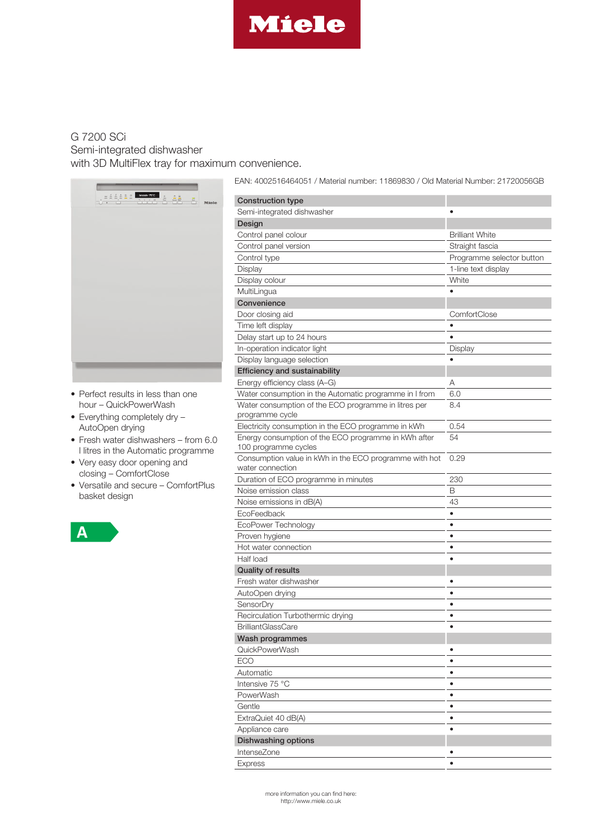

## [G 7200 SCi](http://www.miele.co.uk) Semi-integrated dishwasher

with 3D MultiFlex tray for maximum convenience.



- Perfect results in less than one hour – QuickPowerWash
- Everything completely dry AutoOpen drying
- Fresh water dishwashers from 6.0 l litres in the Automatic programme
- Very easy door opening and closing – ComfortClose
- Versatile and secure ComfortPlus basket design



EAN: 4002516464051 / Material number: 11869830 / Old Material Number: 21720056GB

| <b>Construction type</b>                                                   |                           |
|----------------------------------------------------------------------------|---------------------------|
| Semi-integrated dishwasher                                                 |                           |
| Design                                                                     |                           |
| Control panel colour                                                       | <b>Brilliant White</b>    |
| Control panel version                                                      | Straight fascia           |
| Control type                                                               | Programme selector button |
| Display                                                                    | 1-line text display       |
| Display colour                                                             | White                     |
| MultiLingua                                                                |                           |
| Convenience                                                                |                           |
| Door closing aid                                                           | ComfortClose              |
| Time left display                                                          | ٠                         |
| Delay start up to 24 hours                                                 |                           |
|                                                                            |                           |
| In-operation indicator light                                               | Display                   |
| Display language selection                                                 |                           |
| <b>Efficiency and sustainability</b>                                       |                           |
| Energy efficiency class (A-G)                                              | Α                         |
| Water consumption in the Automatic programme in I from                     | 6.0                       |
| Water consumption of the ECO programme in litres per<br>programme cycle    | 8.4                       |
| Electricity consumption in the ECO programme in kWh                        | 0.54                      |
| Energy consumption of the ECO programme in kWh after                       | 54                        |
| 100 programme cycles                                                       |                           |
| Consumption value in kWh in the ECO programme with hot<br>water connection | 0.29                      |
| Duration of ECO programme in minutes                                       | 230                       |
| Noise emission class                                                       | B                         |
| Noise emissions in dB(A)                                                   | 43                        |
| EcoFeedback                                                                | ٠                         |
| EcoPower Technology                                                        | $\bullet$                 |
| Proven hygiene                                                             | ٠                         |
| Hot water connection                                                       | ٠                         |
| Half load                                                                  |                           |
| <b>Quality of results</b>                                                  |                           |
| Fresh water dishwasher                                                     |                           |
| AutoOpen drying                                                            |                           |
| SensorDry                                                                  | $\bullet$                 |
| Recirculation Turbothermic drying                                          | $\bullet$                 |
| <b>BrilliantGlassCare</b>                                                  |                           |
| Wash programmes                                                            |                           |
| QuickPowerWash                                                             | ٠                         |
| ECO                                                                        | $\bullet$                 |
| Automatic                                                                  | $\bullet$                 |
| Intensive 75 °C                                                            | ٠                         |
| PowerWash                                                                  | $\bullet$                 |
| Gentle                                                                     | ٠                         |
| ExtraQuiet 40 dB(A)                                                        | $\bullet$                 |
| Appliance care                                                             | $\bullet$                 |
| Dishwashing options                                                        |                           |
| IntenseZone                                                                | ٠                         |
| <b>Express</b>                                                             | ٠                         |
|                                                                            |                           |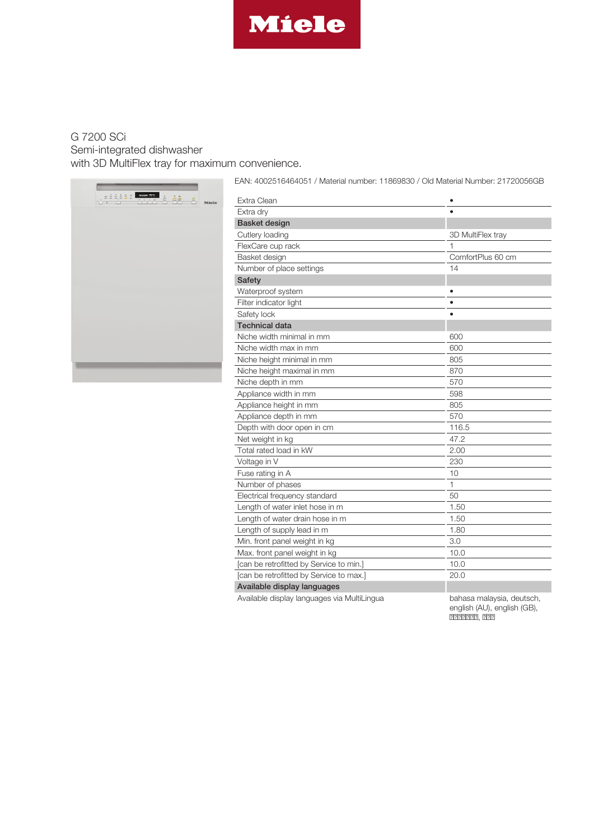

## G 7200 SCi Semi-integrated dishwasher with 3D MultiFlex tray for maximum convenience.



EAN: 4002516464051 / Material number: 11869830 / Old Material Number: 21720056GB

| Extra Clean                                 | ٠                         |
|---------------------------------------------|---------------------------|
| Extra dry                                   |                           |
| <b>Basket design</b>                        |                           |
| Cutlery loading                             | 3D MultiFlex tray         |
| FlexCare cup rack                           | 1                         |
| Basket design                               | ComfortPlus 60 cm         |
| Number of place settings                    | 14                        |
| <b>Safety</b>                               |                           |
| Waterproof system                           |                           |
| Filter indicator light                      | $\bullet$                 |
| Safety lock                                 |                           |
| <b>Technical data</b>                       |                           |
| Niche width minimal in mm                   | 600                       |
| Niche width max in mm                       | 600                       |
| Niche height minimal in mm                  | 805                       |
| Niche height maximal in mm                  | 870                       |
| Niche depth in mm                           | 570                       |
| Appliance width in mm                       | 598                       |
| Appliance height in mm                      | 805                       |
| Appliance depth in mm                       | 570                       |
| Depth with door open in cm                  | 116.5                     |
| Net weight in kg                            | 47.2                      |
| Total rated load in kW                      | 2.00                      |
| Voltage in V                                | 230                       |
| Fuse rating in A                            | 10                        |
| Number of phases                            | 1                         |
| Electrical frequency standard               | 50                        |
| Length of water inlet hose in m             | 1.50                      |
| Length of water drain hose in m             | 1.50                      |
| Length of supply lead in m                  | 1.80                      |
| Min. front panel weight in kg               | 3.0                       |
| Max. front panel weight in kg               | 10.0                      |
| [can be retrofitted by Service to min.]     | 10.0                      |
| [can be retrofitted by Service to max.]     | 20.0                      |
| Available display languages                 |                           |
| Available display languages via MultiLingua | bahasa malaysia, deutsch, |

english (AU), english (GB),

ااا ,اااااا